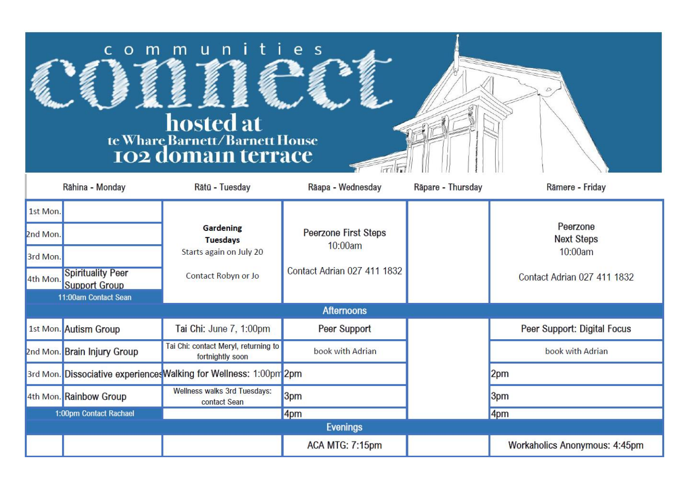